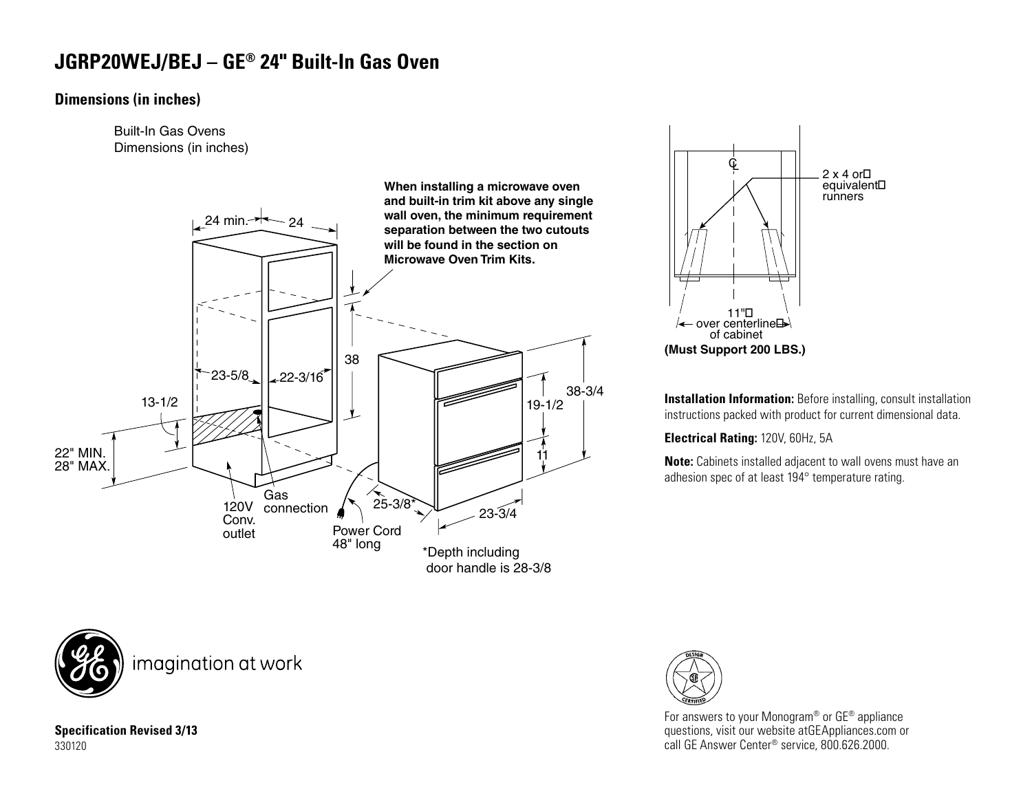## **JGRP20WEJ/BEJ – GE® 24" Built-In Gas Oven**

## **Dimensions (in inches)**

Built-In Gas Ovens Dimensions (in inches)





**Installation Information:** Before installing, consult installation instructions packed with product for current dimensional data.

**Electrical Rating:** 120V, 60Hz, 5A

**Note:** Cabinets installed adjacent to wall ovens must have an adhesion spec of at least 194° temperature rating.



For answers to your Monogram® or GE® appliance questions, visit our website atGEAppliances.com or call GE Answer Center® service, 800.626.2000.

**Specification Revised 3/13** 330120